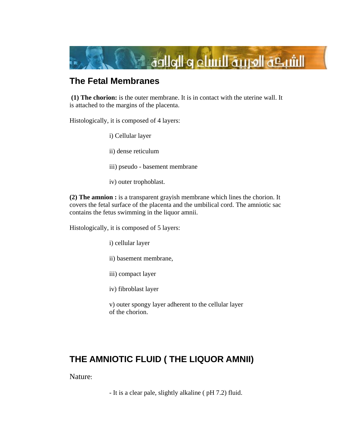

# **The Fetal Membranes**

 **(1) The chorion:** is the outer membrane. It is in contact with the uterine wall. It is attached to the margins of the placenta.

Histologically, it is composed of 4 layers:

i) Cellular layer

ii) dense reticulum

iii) pseudo - basement membrane

iv) outer trophoblast.

**(2) The amnion :** is a transparent grayish membrane which lines the chorion. It covers the fetal surface of the placenta and the umbilical cord. The amniotic sac contains the fetus swimming in the liquor amnii.

Histologically, it is composed of 5 layers:

i) cellular layer

ii) basement membrane,

iii) compact layer

iv) fibroblast layer

v) outer spongy layer adherent to the cellular layer of the chorion.

# **THE AMNIOTIC FLUID ( THE LIQUOR AMNII)**

Nature:

- It is a clear pale, slightly alkaline ( pH 7.2) fluid.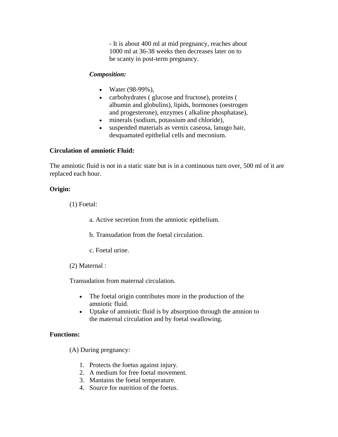- It is about 400 ml at mid pregnancy, reaches about 1000 ml at 36-38 weeks then decreases later on to be scanty in post-term pregnancy.

#### *Composition:*

- Water (98-99%),
- carbohydrates ( glucose and fructose), proteins ( albumin and globulins), lipids, hormones (oestrogen and progesterone), enzymes ( alkaline phosphatase),
- minerals (sodium, potassium and chloride),
- suspended materials as vernix caseosa, lanugo hair, desquamated epithelial cells and meconium.

#### **Circulation of amniotic Fluid:**

The amniotic fluid is not in a static state but is in a continuous turn over, 500 ml of it are replaced each hour.

#### **Origin:**

(1) Foetal:

a. Active secretion from the amniotic epithelium.

b. Transudation from the foetal circulation.

- c. Foetal urine.
- (2) Maternal :

Transudation from maternal circulation.

- The foetal origin contributes more in the production of the amniotic fluid.
- Uptake of amniotic fluid is by absorption through the amnion to the maternal circulation and by foetal swallowing.

### **Functions:**

(A) During pregnancy:

- 1. Protects the foetus against injury.
- 2. A medium for free foetal movement.
- 3. Mantains the foetal temperature.
- 4. Source for nutrition of the foetus.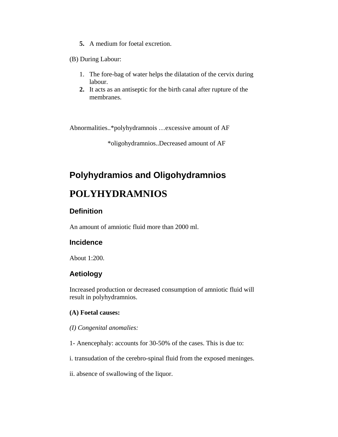**5.** A medium for foetal excretion.

(B) During Labour:

- 1. The fore-bag of water helps the dilatation of the cervix during labour.
- **2.** It acts as an antiseptic for the birth canal after rupture of the membranes.

Abnormalities..\*polyhydramnois …excessive amount of AF

\*oligohydramnios..Decreased amount of AF

# **Polyhydramios and Oligohydramnios**

# **POLYHYDRAMNIOS**

## **Definition**

An amount of amniotic fluid more than 2000 ml.

#### **Incidence**

About 1:200.

### **Aetiology**

Increased production or decreased consumption of amniotic fluid will result in polyhydramnios.

#### **(A) Foetal causes:**

*(I) Congenital anomalies:* 

- 1- Anencephaly: accounts for 30-50% of the cases. This is due to:
- i. transudation of the cerebro-spinal fluid from the exposed meninges.
- ii. absence of swallowing of the liquor.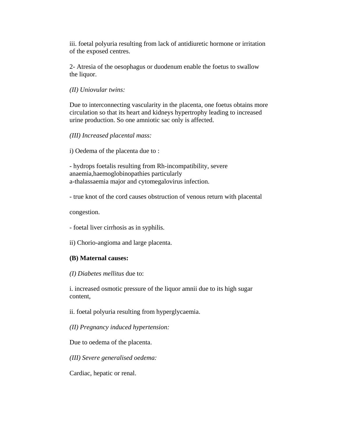iii. foetal polyuria resulting from lack of antidiuretic hormone or irritation of the exposed centres.

2- Atresia of the oesophagus or duodenum enable the foetus to swallow the liquor.

*(II) Uniovular twins:* 

Due to interconnecting vascularity in the placenta, one foetus obtains more circulation so that its heart and kidneys hypertrophy leading to increased urine production. So one amniotic sac only is affected.

*(III) Increased placental mass:* 

i) Oedema of the placenta due to :

- hydrops foetalis resulting from Rh-incompatibility, severe anaemia,haemoglobinopathies particularly a-thalassaemia major and cytomegalovirus infection.

- true knot of the cord causes obstruction of venous return with placental

congestion.

- foetal liver cirrhosis as in syphilis.

ii) Chorio-angioma and large placenta.

#### **(B) Maternal causes:**

*(I) Diabetes mellitus* due to:

i. increased osmotic pressure of the liquor amnii due to its high sugar content,

ii. foetal polyuria resulting from hyperglycaemia.

*(II) Pregnancy induced hypertension:* 

Due to oedema of the placenta.

*(III) Severe generalised oedema:* 

Cardiac, hepatic or renal.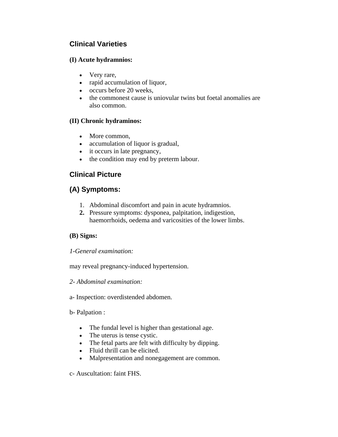# **Clinical Varieties**

## **(I) Acute hydramnios:**

- Very rare,
- rapid accumulation of liquor,
- occurs before 20 weeks,
- the commonest cause is uniovular twins but foetal anomalies are also common.

## **(II) Chronic hydraminos:**

- More common,
- accumulation of liquor is gradual,
- it occurs in late pregnancy,
- the condition may end by preterm labour.

# **Clinical Picture**

# **(A) Symptoms:**

- 1. Abdominal discomfort and pain in acute hydramnios.
- **2.** Pressure symptoms: dysponea, palpitation, indigestion, haemorrhoids, oedema and varicosities of the lower limbs.

# **(B) Signs:**

### *1-General examination:*

may reveal pregnancy-induced hypertension.

### *2- Abdominal examination:*

a- Inspection: overdistended abdomen.

b- Palpation :

- The fundal level is higher than gestational age.
- The uterus is tense cystic.
- The fetal parts are felt with difficulty by dipping.
- Fluid thrill can be elicited.
- Malpresentation and nonegagement are common.

c- Auscultation: faint FHS.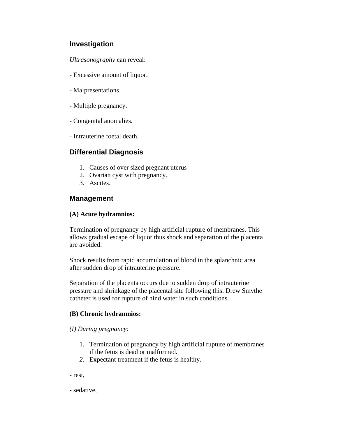# **Investigation**

*Ultrasonography* can reveal:

- Excessive amount of liquor.
- Malpresentations.
- Multiple pregnancy.
- Congenital anomalies.
- Intrauterine foetal death.

# **Differential Diagnosis**

- 1. Causes of over sized pregnant uterus
- 2. Ovarian cyst with pregnancy.
- 3. Ascites.

# **Management**

### **(A) Acute hydramnios:**

Termination of pregnancy by high artificial rupture of membranes. This allows gradual escape of liquor thus shock and separation of the placenta are avoided.

Shock results from rapid accumulation of blood in the splanchnic area after sudden drop of intrauterine pressure.

Separation of the placenta occurs due to sudden drop of intrauterine pressure and shrinkage of the placental site following this. Drew Smythe catheter is used for rupture of hind water in such conditions.

### **(B) Chronic hydramnios:**

#### *(I) During pregnancy:*

- 1. Termination of pregnancy by high artificial rupture of membranes if the fetus is dead or malformed.
- *2.* Expectant treatment if the fetus is healthy.
- rest,
- sedative,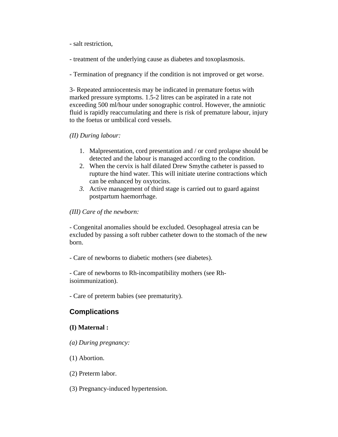- salt restriction,

- treatment of the underlying cause as diabetes and toxoplasmosis.

- Termination of pregnancy if the condition is not improved or get worse.

3- Repeated amniocentesis may be indicated in premature foetus with marked pressure symptoms. 1.5-2 litres can be aspirated in a rate not exceeding 500 ml/hour under sonographic control. However, the amniotic fluid is rapidly reaccumulating and there is risk of premature labour, injury to the foetus or umbilical cord vessels.

### *(II) During labour:*

- 1. Malpresentation, cord presentation and / or cord prolapse should be detected and the labour is managed according to the condition.
- 2. When the cervix is half dilated Drew Smythe catheter is passed to rupture the hind water. This will initiate uterine contractions which can be enhanced by oxytocins.
- *3.* Active management of third stage is carried out to guard against postpartum haemorrhage.

#### *(III) Care of the newborn:*

- Congenital anomalies should be excluded. Oesophageal atresia can be excluded by passing a soft rubber catheter down to the stomach of the new born.

- Care of newborns to diabetic mothers (see diabetes).

- Care of newborns to Rh-incompatibility mothers (see Rhisoimmunization).

- Care of preterm babies (see prematurity).

# **Complications**

### **(I) Maternal :**

- *(a) During pregnancy:*
- (1) Abortion.
- (2) Preterm labor.
- (3) Pregnancy-induced hypertension.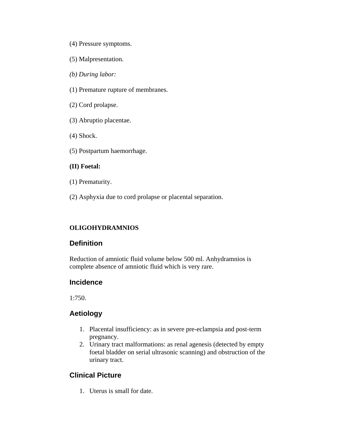- (4) Pressure symptoms.
- (5) Malpresentation.
- *(b) During labor:*
- (1) Premature rupture of membranes.
- (2) Cord prolapse.
- (3) Abruptio placentae.
- (4) Shock.
- (5) Postpartum haemorrhage.

#### **(II) Foetal:**

- (1) Prematurity.
- (2) Asphyxia due to cord prolapse or placental separation.

# **OLIGOHYDRAMNIOS**

# **Definition**

Reduction of amniotic fluid volume below 500 ml. Anhydramnios is complete absence of amniotic fluid which is very rare.

# **Incidence**

1:750.

# **Aetiology**

- 1. Placental insufficiency: as in severe pre-eclampsia and post-term pregnancy.
- 2. Urinary tract malformations: as renal agenesis (detected by empty foetal bladder on serial ultrasonic scanning) and obstruction of the urinary tract.

# **Clinical Picture**

1. Uterus is small for date.